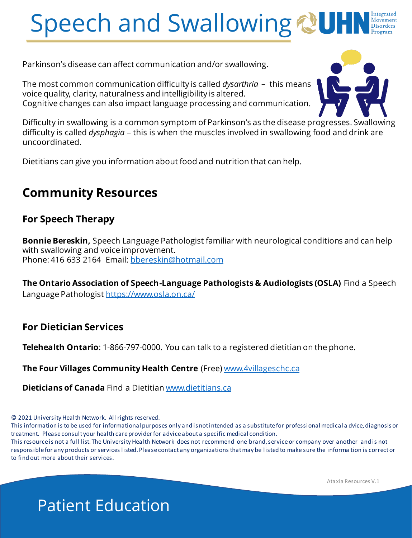# Speech and Swallowing

Parkinson's disease can affect communication and/or swallowing.

The most common communication difficulty is called *dysarthria* – this means voice quality, clarity, naturalness and intelligibility is altered. Cognitive changes can also impact language processing and communication.



Difficulty in swallowing is a common symptom of Parkinson's as the disease progresses. Swallowing difficulty is called *dysphagia* – this is when the muscles involved in swallowing food and drink are uncoordinated.

Dietitians can give you information about food and nutrition that can help.

# **Community Resources**

# **For Speech Therapy**

**Bonnie Bereskin,** Speech Language Pathologist familiar with neurological conditions and can help with swallowing and voice improvement. Phone: 416 633 2164 Email: [bbereskin@hotmail.com](mailto:bbereskin@hotmail.com)

**The Ontario Association of Speech-Language Pathologists & Audiologists (OSLA)** Find a Speech Language Pathologist <https://www.osla.on.ca/>

## **For Dietician Services**

**Telehealth Ontario**: 1-866-797-0000. You can talk to a registered dietitian on the phone.

**The Four Villages Community Health Centre** (Free) [www.4villageschc.ca](http://www.4villageschc.ca/)

**Dieticians of Canada** Find a Dietitian [www.dietitians.ca](http://www.dietitians.ca/)

© 2021 University Health Network. All rights reserved.

This information is to be used for informational purposes only and is not intended as a substitute for professional medical a dvice, diagnosis or treatment. Please consult your health care provider for advice about a specific medical condition.

This resource is not a full list. The University Health Network does not recommend one brand, service or company over another and is not responsible for any products or services listed. Please contact any organizations that may be listed to make sure the informa tion is correct or to find out more about their services.

Ataxia Resources V.1

# Patient Education